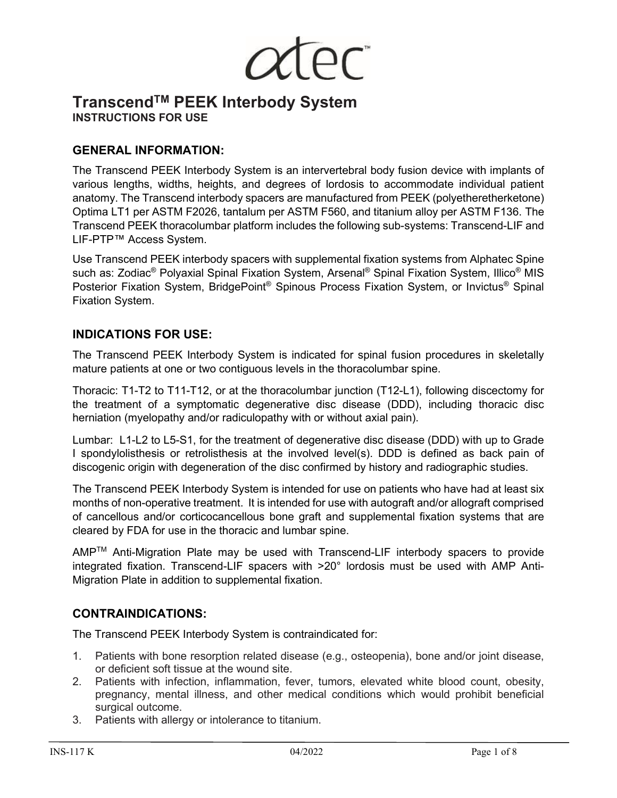

# **TranscendTM PEEK Interbody System INSTRUCTIONS FOR USE**

## **GENERAL INFORMATION:**

The Transcend PEEK Interbody System is an intervertebral body fusion device with implants of various lengths, widths, heights, and degrees of lordosis to accommodate individual patient anatomy. The Transcend interbody spacers are manufactured from PEEK (polyetheretherketone) Optima LT1 per ASTM F2026, tantalum per ASTM F560, and titanium alloy per ASTM F136. The Transcend PEEK thoracolumbar platform includes the following sub-systems: Transcend-LIF and LIF-PTP™ Access System.

Use Transcend PEEK interbody spacers with supplemental fixation systems from Alphatec Spine such as: Zodiac<sup>®</sup> Polyaxial Spinal Fixation System, Arsenal<sup>®</sup> Spinal Fixation System, Illico<sup>®</sup> MIS Posterior Fixation System, BridgePoint® Spinous Process Fixation System, or Invictus® Spinal Fixation System.

# **INDICATIONS FOR USE:**

The Transcend PEEK Interbody System is indicated for spinal fusion procedures in skeletally mature patients at one or two contiguous levels in the thoracolumbar spine.

Thoracic: T1-T2 to T11-T12, or at the thoracolumbar junction (T12-L1), following discectomy for the treatment of a symptomatic degenerative disc disease (DDD), including thoracic disc herniation (myelopathy and/or radiculopathy with or without axial pain).

Lumbar: L1-L2 to L5-S1, for the treatment of degenerative disc disease (DDD) with up to Grade I spondylolisthesis or retrolisthesis at the involved level(s). DDD is defined as back pain of discogenic origin with degeneration of the disc confirmed by history and radiographic studies.

The Transcend PEEK Interbody System is intended for use on patients who have had at least six months of non-operative treatment. It is intended for use with autograft and/or allograft comprised of cancellous and/or corticocancellous bone graft and supplemental fixation systems that are cleared by FDA for use in the thoracic and lumbar spine.

AMPTM Anti-Migration Plate may be used with Transcend-LIF interbody spacers to provide integrated fixation. Transcend-LIF spacers with >20° lordosis must be used with AMP Anti-Migration Plate in addition to supplemental fixation.

## **CONTRAINDICATIONS:**

The Transcend PEEK Interbody System is contraindicated for:

- 1. Patients with bone resorption related disease (e.g., osteopenia), bone and/or joint disease, or deficient soft tissue at the wound site.
- 2. Patients with infection, inflammation, fever, tumors, elevated white blood count, obesity, pregnancy, mental illness, and other medical conditions which would prohibit beneficial surgical outcome.
- 3. Patients with allergy or intolerance to titanium.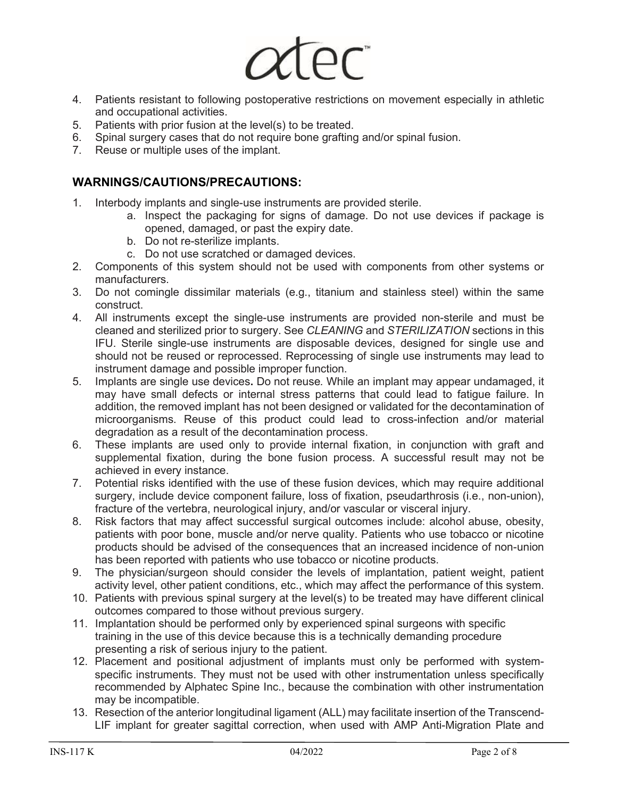

- 4. Patients resistant to following postoperative restrictions on movement especially in athletic and occupational activities.
- 5. Patients with prior fusion at the level(s) to be treated.
- 6. Spinal surgery cases that do not require bone grafting and/or spinal fusion.
- 7. Reuse or multiple uses of the implant.

## **WARNINGS/CAUTIONS/PRECAUTIONS:**

- 1. Interbody implants and single-use instruments are provided sterile.
	- a. Inspect the packaging for signs of damage. Do not use devices if package is opened, damaged, or past the expiry date.
	- b. Do not re-sterilize implants.
	- c. Do not use scratched or damaged devices.
- 2. Components of this system should not be used with components from other systems or manufacturers.
- 3. Do not comingle dissimilar materials (e.g., titanium and stainless steel) within the same construct.
- 4. All instruments except the single-use instruments are provided non-sterile and must be cleaned and sterilized prior to surgery. See *CLEANING* and *STERILIZATION* sections in this IFU. Sterile single-use instruments are disposable devices, designed for single use and should not be reused or reprocessed. Reprocessing of single use instruments may lead to instrument damage and possible improper function.
- 5. Implants are single use devices**.** Do not reuse*.* While an implant may appear undamaged, it may have small defects or internal stress patterns that could lead to fatigue failure. In addition, the removed implant has not been designed or validated for the decontamination of microorganisms. Reuse of this product could lead to cross-infection and/or material degradation as a result of the decontamination process.
- 6. These implants are used only to provide internal fixation, in conjunction with graft and supplemental fixation, during the bone fusion process. A successful result may not be achieved in every instance.
- 7. Potential risks identified with the use of these fusion devices, which may require additional surgery, include device component failure, loss of fixation, pseudarthrosis (i.e., non-union), fracture of the vertebra, neurological injury, and/or vascular or visceral injury.
- 8. Risk factors that may affect successful surgical outcomes include: alcohol abuse, obesity, patients with poor bone, muscle and/or nerve quality. Patients who use tobacco or nicotine products should be advised of the consequences that an increased incidence of non-union has been reported with patients who use tobacco or nicotine products.
- 9. The physician/surgeon should consider the levels of implantation, patient weight, patient activity level, other patient conditions, etc., which may affect the performance of this system.
- 10. Patients with previous spinal surgery at the level(s) to be treated may have different clinical outcomes compared to those without previous surgery.
- 11. Implantation should be performed only by experienced spinal surgeons with specific training in the use of this device because this is a technically demanding procedure presenting a risk of serious injury to the patient.
- 12. Placement and positional adjustment of implants must only be performed with systemspecific instruments. They must not be used with other instrumentation unless specifically recommended by Alphatec Spine Inc., because the combination with other instrumentation may be incompatible.
- 13. Resection of the anterior longitudinal ligament (ALL) may facilitate insertion of the Transcend-LIF implant for greater sagittal correction, when used with AMP Anti-Migration Plate and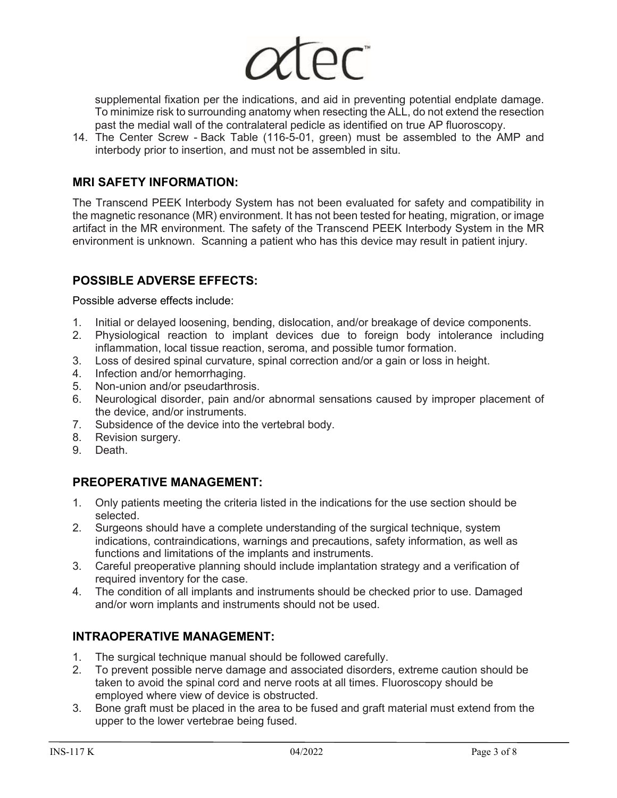

supplemental fixation per the indications, and aid in preventing potential endplate damage. To minimize risk to surrounding anatomy when resecting the ALL, do not extend the resection past the medial wall of the contralateral pedicle as identified on true AP fluoroscopy.

14. The Center Screw - Back Table (116-5-01, green) must be assembled to the AMP and interbody prior to insertion, and must not be assembled in situ.

## **MRI SAFETY INFORMATION:**

The Transcend PEEK Interbody System has not been evaluated for safety and compatibility in the magnetic resonance (MR) environment. It has not been tested for heating, migration, or image artifact in the MR environment. The safety of the Transcend PEEK Interbody System in the MR environment is unknown. Scanning a patient who has this device may result in patient injury.

# **POSSIBLE ADVERSE EFFECTS:**

Possible adverse effects include:

- 1. Initial or delayed loosening, bending, dislocation, and/or breakage of device components.
- 2. Physiological reaction to implant devices due to foreign body intolerance including inflammation, local tissue reaction, seroma, and possible tumor formation.
- 3. Loss of desired spinal curvature, spinal correction and/or a gain or loss in height.
- 4. Infection and/or hemorrhaging.<br>5. Non-union and/or pseudarthros
- Non-union and/or pseudarthrosis.
- 6. Neurological disorder, pain and/or abnormal sensations caused by improper placement of the device, and/or instruments.
- 7. Subsidence of the device into the vertebral body.
- 8. Revision surgery.
- 9. Death.

## **PREOPERATIVE MANAGEMENT:**

- 1. Only patients meeting the criteria listed in the indications for the use section should be selected.
- 2. Surgeons should have a complete understanding of the surgical technique, system indications, contraindications, warnings and precautions, safety information, as well as functions and limitations of the implants and instruments.
- 3. Careful preoperative planning should include implantation strategy and a verification of required inventory for the case.
- 4. The condition of all implants and instruments should be checked prior to use. Damaged and/or worn implants and instruments should not be used.

# **INTRAOPERATIVE MANAGEMENT:**

- 1. The surgical technique manual should be followed carefully.
- 2. To prevent possible nerve damage and associated disorders, extreme caution should be taken to avoid the spinal cord and nerve roots at all times. Fluoroscopy should be employed where view of device is obstructed.
- 3. Bone graft must be placed in the area to be fused and graft material must extend from the upper to the lower vertebrae being fused.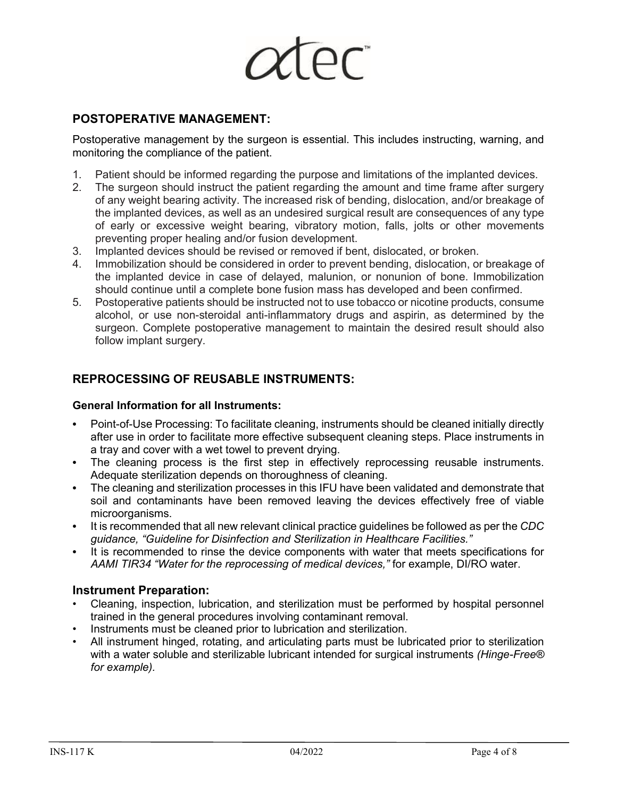

## **POSTOPERATIVE MANAGEMENT:**

Postoperative management by the surgeon is essential. This includes instructing, warning, and monitoring the compliance of the patient.

- 1. Patient should be informed regarding the purpose and limitations of the implanted devices.
- 2. The surgeon should instruct the patient regarding the amount and time frame after surgery of any weight bearing activity. The increased risk of bending, dislocation, and/or breakage of the implanted devices, as well as an undesired surgical result are consequences of any type of early or excessive weight bearing, vibratory motion, falls, jolts or other movements preventing proper healing and/or fusion development.
- 3. Implanted devices should be revised or removed if bent, dislocated, or broken.
- 4. Immobilization should be considered in order to prevent bending, dislocation, or breakage of the implanted device in case of delayed, malunion, or nonunion of bone. Immobilization should continue until a complete bone fusion mass has developed and been confirmed.
- 5. Postoperative patients should be instructed not to use tobacco or nicotine products, consume alcohol, or use non-steroidal anti-inflammatory drugs and aspirin, as determined by the surgeon. Complete postoperative management to maintain the desired result should also follow implant surgery.

## **REPROCESSING OF REUSABLE INSTRUMENTS:**

#### **General Information for all Instruments:**

- **•** Point-of-Use Processing: To facilitate cleaning, instruments should be cleaned initially directly after use in order to facilitate more effective subsequent cleaning steps. Place instruments in a tray and cover with a wet towel to prevent drying.
- **•** The cleaning process is the first step in effectively reprocessing reusable instruments. Adequate sterilization depends on thoroughness of cleaning.
- **•** The cleaning and sterilization processes in this IFU have been validated and demonstrate that soil and contaminants have been removed leaving the devices effectively free of viable microorganisms.
- **•** It is recommended that all new relevant clinical practice guidelines be followed as per the *CDC guidance, "Guideline for Disinfection and Sterilization in Healthcare Facilities."*
- **•** It is recommended to rinse the device components with water that meets specifications for *AAMI TIR34 "Water for the reprocessing of medical devices,"* for example, DI/RO water.

#### **Instrument Preparation:**

- Cleaning, inspection, lubrication, and sterilization must be performed by hospital personnel trained in the general procedures involving contaminant removal.
- Instruments must be cleaned prior to lubrication and sterilization.
- All instrument hinged, rotating, and articulating parts must be lubricated prior to sterilization with a water soluble and sterilizable lubricant intended for surgical instruments *(Hinge-Free® for example).*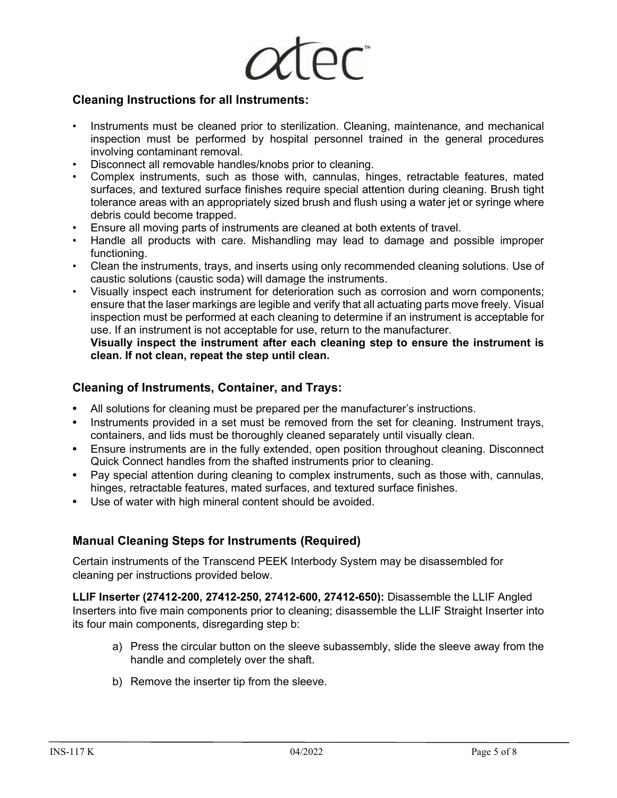

#### **Cleaning Instructions for all Instruments:**

- Instruments must be cleaned prior to sterilization. Cleaning, maintenance, and mechanical inspection must be performed by hospital personnel trained in the general procedures involving contaminant removal.
- Disconnect all removable handles/knobs prior to cleaning.
- Complex instruments, such as those with, cannulas, hinges, retractable features, mated surfaces, and textured surface finishes require special attention during cleaning. Brush tight tolerance areas with an appropriately sized brush and flush using a water jet or syringe where debris could become trapped.
- Ensure all moving parts of instruments are cleaned at both extents of travel.
- Handle all products with care. Mishandling may lead to damage and possible improper functioning.
- Clean the instruments, trays, and inserts using only recommended cleaning solutions. Use of caustic solutions (caustic soda) will damage the instruments.
- Visually inspect each instrument for deterioration such as corrosion and worn components; ensure that the laser markings are legible and verify that all actuating parts move freely. Visual inspection must be performed at each cleaning to determine if an instrument is acceptable for use. If an instrument is not acceptable for use, return to the manufacturer.

**Visually inspect the instrument after each cleaning step to ensure the instrument is clean. If not clean, repeat the step until clean.**

#### **Cleaning of Instruments, Container, and Trays:**

- **•** All solutions for cleaning must be prepared per the manufacturer's instructions.
- Instruments provided in a set must be removed from the set for cleaning. Instrument trays, containers, and lids must be thoroughly cleaned separately until visually clean.
- **•** Ensure instruments are in the fully extended, open position throughout cleaning. Disconnect Quick Connect handles from the shafted instruments prior to cleaning.
- **•** Pay special attention during cleaning to complex instruments, such as those with, cannulas, hinges, retractable features, mated surfaces, and textured surface finishes.
- **•** Use of water with high mineral content should be avoided.

#### **Manual Cleaning Steps for Instruments (Required)**

Certain instruments of the Transcend PEEK Interbody System may be disassembled for cleaning per instructions provided below.

**LLIF Inserter (27412-200, 27412-250, 27412-600, 27412-650):** Disassemble the LLIF Angled Inserters into five main components prior to cleaning; disassemble the LLIF Straight Inserter into its four main components, disregarding step b:

- a) Press the circular button on the sleeve subassembly, slide the sleeve away from the handle and completely over the shaft.
- b) Remove the inserter tip from the sleeve.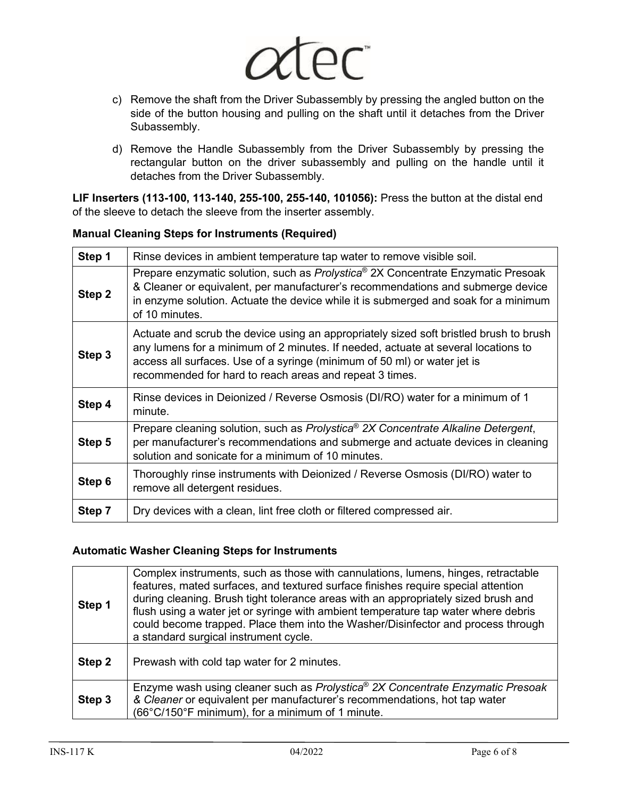

- c) Remove the shaft from the Driver Subassembly by pressing the angled button on the side of the button housing and pulling on the shaft until it detaches from the Driver Subassembly.
- d) Remove the Handle Subassembly from the Driver Subassembly by pressing the rectangular button on the driver subassembly and pulling on the handle until it detaches from the Driver Subassembly.

**LIF Inserters (113-100, 113-140, 255-100, 255-140, 101056):** Press the button at the distal end of the sleeve to detach the sleeve from the inserter assembly.

#### **Manual Cleaning Steps for Instruments (Required)**

| Step 1 | Rinse devices in ambient temperature tap water to remove visible soil.                                                                                                                                                                                                                                             |  |  |  |  |
|--------|--------------------------------------------------------------------------------------------------------------------------------------------------------------------------------------------------------------------------------------------------------------------------------------------------------------------|--|--|--|--|
| Step 2 | Prepare enzymatic solution, such as Prolystica <sup>®</sup> 2X Concentrate Enzymatic Presoak<br>& Cleaner or equivalent, per manufacturer's recommendations and submerge device<br>in enzyme solution. Actuate the device while it is submerged and soak for a minimum<br>of 10 minutes.                           |  |  |  |  |
| Step 3 | Actuate and scrub the device using an appropriately sized soft bristled brush to brush<br>any lumens for a minimum of 2 minutes. If needed, actuate at several locations to<br>access all surfaces. Use of a syringe (minimum of 50 ml) or water jet is<br>recommended for hard to reach areas and repeat 3 times. |  |  |  |  |
| Step 4 | Rinse devices in Deionized / Reverse Osmosis (DI/RO) water for a minimum of 1<br>minute.                                                                                                                                                                                                                           |  |  |  |  |
| Step 5 | Prepare cleaning solution, such as Prolystica® 2X Concentrate Alkaline Detergent,<br>per manufacturer's recommendations and submerge and actuate devices in cleaning<br>solution and sonicate for a minimum of 10 minutes.                                                                                         |  |  |  |  |
| Step 6 | Thoroughly rinse instruments with Deionized / Reverse Osmosis (DI/RO) water to<br>remove all detergent residues.                                                                                                                                                                                                   |  |  |  |  |
| Step 7 | Dry devices with a clean, lint free cloth or filtered compressed air.                                                                                                                                                                                                                                              |  |  |  |  |

#### **Automatic Washer Cleaning Steps for Instruments**

| Step 1 | Complex instruments, such as those with cannulations, lumens, hinges, retractable<br>features, mated surfaces, and textured surface finishes require special attention<br>during cleaning. Brush tight tolerance areas with an appropriately sized brush and<br>flush using a water jet or syringe with ambient temperature tap water where debris<br>could become trapped. Place them into the Washer/Disinfector and process through<br>a standard surgical instrument cycle. |  |  |  |  |
|--------|---------------------------------------------------------------------------------------------------------------------------------------------------------------------------------------------------------------------------------------------------------------------------------------------------------------------------------------------------------------------------------------------------------------------------------------------------------------------------------|--|--|--|--|
| Step 2 | Prewash with cold tap water for 2 minutes.                                                                                                                                                                                                                                                                                                                                                                                                                                      |  |  |  |  |
| Step 3 | Enzyme wash using cleaner such as Prolystica® 2X Concentrate Enzymatic Presoak<br>& Cleaner or equivalent per manufacturer's recommendations, hot tap water<br>(66°C/150°F minimum), for a minimum of 1 minute.                                                                                                                                                                                                                                                                 |  |  |  |  |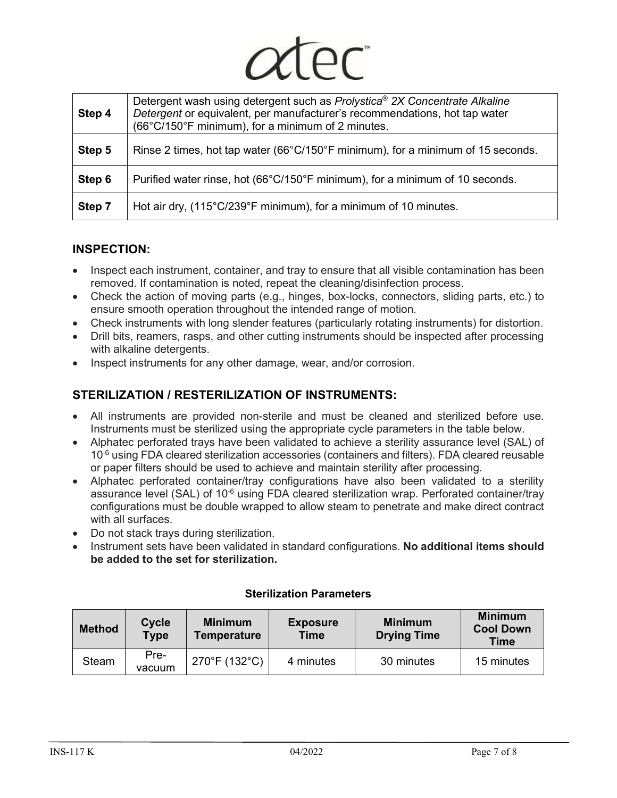| Step 4 | Detergent wash using detergent such as Prolystica <sup>®</sup> 2X Concentrate Alkaline<br>Detergent or equivalent, per manufacturer's recommendations, hot tap water<br>(66°C/150°F minimum), for a minimum of 2 minutes. |  |  |  |  |  |
|--------|---------------------------------------------------------------------------------------------------------------------------------------------------------------------------------------------------------------------------|--|--|--|--|--|
| Step 5 | Rinse 2 times, hot tap water ( $66^{\circ}$ C/150 $^{\circ}$ F minimum), for a minimum of 15 seconds.                                                                                                                     |  |  |  |  |  |
| Step 6 | Purified water rinse, hot (66°C/150°F minimum), for a minimum of 10 seconds.                                                                                                                                              |  |  |  |  |  |
| Step 7 | Hot air dry, (115°C/239°F minimum), for a minimum of 10 minutes.                                                                                                                                                          |  |  |  |  |  |

## **INSPECTION:**

- Inspect each instrument, container, and tray to ensure that all visible contamination has been removed. If contamination is noted, repeat the cleaning/disinfection process.
- Check the action of moving parts (e.g., hinges, box-locks, connectors, sliding parts, etc.) to ensure smooth operation throughout the intended range of motion.
- Check instruments with long slender features (particularly rotating instruments) for distortion.
- Drill bits, reamers, rasps, and other cutting instruments should be inspected after processing with alkaline detergents.
- Inspect instruments for any other damage, wear, and/or corrosion.

# **STERILIZATION / RESTERILIZATION OF INSTRUMENTS:**

- All instruments are provided non-sterile and must be cleaned and sterilized before use. Instruments must be sterilized using the appropriate cycle parameters in the table below.
- Alphatec perforated trays have been validated to achieve a sterility assurance level (SAL) of  $10<sup>-6</sup>$  using FDA cleared sterilization accessories (containers and filters). FDA cleared reusable or paper filters should be used to achieve and maintain sterility after processing.
- Alphatec perforated container/tray configurations have also been validated to a sterility assurance level (SAL) of 10<sup>-6</sup> using FDA cleared sterilization wrap. Perforated container/tray configurations must be double wrapped to allow steam to penetrate and make direct contract with all surfaces.
- Do not stack trays during sterilization.
- Instrument sets have been validated in standard configurations. **No additional items should be added to the set for sterilization.**

| <b>Method</b> | Cycle<br><b>Type</b> | <b>Minimum</b><br><b>Temperature</b> | <b>Exposure</b><br><b>Time</b> | <b>Minimum</b><br><b>Drying Time</b> | <b>Minimum</b><br><b>Cool Down</b><br><b>Time</b> |
|---------------|----------------------|--------------------------------------|--------------------------------|--------------------------------------|---------------------------------------------------|
| Steam         | Pre-<br>vacuum       | 270°F (132°C)                        | 4 minutes                      | 30 minutes                           | 15 minutes                                        |

#### **Sterilization Parameters**